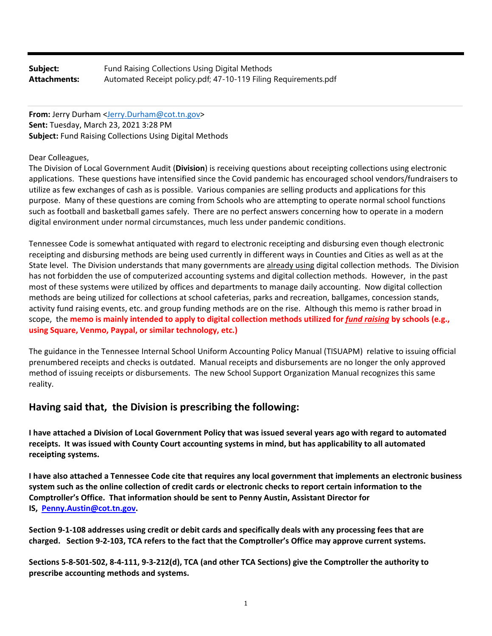| Subject:     | Fund Raising Collections Using Digital Methods                  |
|--------------|-----------------------------------------------------------------|
| Attachments: | Automated Receipt policy.pdf; 47-10-119 Filing Requirements.pdf |

**From:** Jerry Durham <Jerry.Durham@cot.tn.gov> **Sent:** Tuesday, March 23, 2021 3:28 PM **Subject:** Fund Raising Collections Using Digital Methods

### Dear Colleagues,

The Division of Local Government Audit (**Division**) is receiving questions about receipting collections using electronic applications. These questions have intensified since the Covid pandemic has encouraged school vendors/fundraisers to utilize as few exchanges of cash as is possible. Various companies are selling products and applications for this purpose. Many of these questions are coming from Schools who are attempting to operate normal school functions such as football and basketball games safely. There are no perfect answers concerning how to operate in a modern digital environment under normal circumstances, much less under pandemic conditions.

Tennessee Code is somewhat antiquated with regard to electronic receipting and disbursing even though electronic receipting and disbursing methods are being used currently in different ways in Counties and Cities as well as at the State level. The Division understands that many governments are already using digital collection methods. The Division has not forbidden the use of computerized accounting systems and digital collection methods. However, in the past most of these systems were utilized by offices and departments to manage daily accounting. Now digital collection methods are being utilized for collections at school cafeterias, parks and recreation, ballgames, concession stands, activity fund raising events, etc. and group funding methods are on the rise. Although this memo is rather broad in scope, the memo is mainly intended to apply to digital collection methods utilized for fund raising by schools (e.g., **using Square, Venmo, Paypal, or similar technology, etc.)**

The guidance in the Tennessee Internal School Uniform Accounting Policy Manual (TISUAPM) relative to issuing official prenumbered receipts and checks is outdated. Manual receipts and disbursements are no longer the only approved method of issuing receipts or disbursements. The new School Support Organization Manual recognizes this same reality.

# **Having said that, the Division is prescribing the following:**

I have attached a Division of Local Government Policy that was issued several years ago with regard to automated receipts. It was issued with County Court accounting systems in mind, but has applicability to all automated **receipting systems.** 

I have also attached a Tennessee Code cite that requires any local government that implements an electronic business system such as the online collection of credit cards or electronic checks to report certain information to the **Comptroller's Office. That information should be sent to Penny Austin, Assistant Director for IS, Penny.Austin@cot.tn.gov.**

Section 9-1-108 addresses using credit or debit cards and specifically deals with any processing fees that are charged. Section 9-2-103, TCA refers to the fact that the Comptroller's Office may approve current systems.

Sections 5-8-501-502, 8-4-111, 9-3-212(d), TCA (and other TCA Sections) give the Comptroller the authority to **prescribe accounting methods and systems.**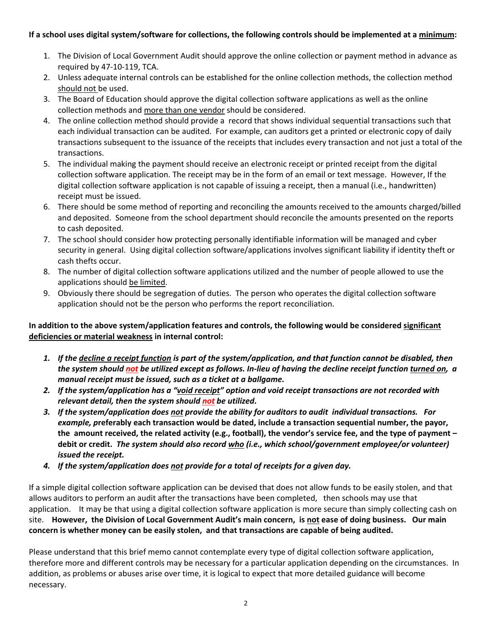## If a school uses digital system/software for collections, the following controls should be implemented at a minimum:

- 1. The Division of Local Government Audit should approve the online collection or payment method in advance as required by 47‐10‐119, TCA.
- 2. Unless adequate internal controls can be established for the online collection methods, the collection method should not be used.
- 3. The Board of Education should approve the digital collection software applications as well as the online collection methods and more than one vendor should be considered.
- 4. The online collection method should provide a record that shows individual sequential transactions such that each individual transaction can be audited. For example, can auditors get a printed or electronic copy of daily transactions subsequent to the issuance of the receipts that includes every transaction and not just a total of the transactions.
- 5. The individual making the payment should receive an electronic receipt or printed receipt from the digital collection software application. The receipt may be in the form of an email or text message. However, If the digital collection software application is not capable of issuing a receipt, then a manual (i.e., handwritten) receipt must be issued.
- 6. There should be some method of reporting and reconciling the amounts received to the amounts charged/billed and deposited. Someone from the school department should reconcile the amounts presented on the reports to cash deposited.
- 7. The school should consider how protecting personally identifiable information will be managed and cyber security in general. Using digital collection software/applications involves significant liability if identity theft or cash thefts occur.
- 8. The number of digital collection software applications utilized and the number of people allowed to use the applications should be limited.
- 9. Obviously there should be segregation of duties. The person who operates the digital collection software application should not be the person who performs the report reconciliation.

## **In addition to the above system/application features and controls, the following would be considered significant deficiencies or material weakness in internal control:**

- 1. If the decline a receipt function is part of the system/application, and that function cannot be disabled, then the system should not be utilized except as follows. In-lieu of having the decline receipt function turned on, a *manual receipt must be issued, such as a ticket at a ballgame.*
- 2. If the system/application has a "void receipt" option and void receipt transactions are not recorded with *relevant detail, then the system should not be utilized.*
- 3. If the system/application does not provide the ability for auditors to audit individual transactions. For *example, p***referably each transaction would be dated, include a transaction sequential number, the payor,** the amount received, the related activity (e.g., football), the vendor's service fee, and the type of payment **debit or credit.** *The system should also record who (i.e., which school/government employee/or volunteer) issued the receipt.*
- *4. If the system/application does not provide for a total of receipts for a given day.*

If a simple digital collection software application can be devised that does not allow funds to be easily stolen, and that allows auditors to perform an audit after the transactions have been completed, then schools may use that application. It may be that using a digital collection software application is more secure than simply collecting cash on site. However, the Division of Local Government Audit's main concern, is not ease of doing business. Our main **concern is whether money can be easily stolen, and that transactions are capable of being audited.**

Please understand that this brief memo cannot contemplate every type of digital collection software application, therefore more and different controls may be necessary for a particular application depending on the circumstances. In addition, as problems or abuses arise over time, it is logical to expect that more detailed guidance will become necessary.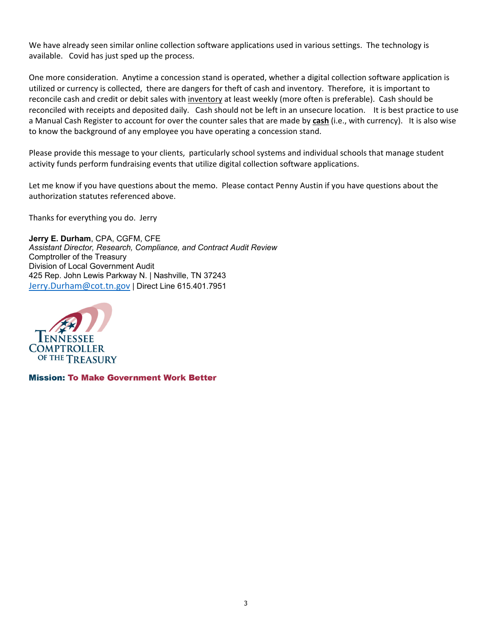We have already seen similar online collection software applications used in various settings. The technology is available. Covid has just sped up the process.

One more consideration. Anytime a concession stand is operated, whether a digital collection software application is utilized or currency is collected, there are dangers for theft of cash and inventory. Therefore, it is important to reconcile cash and credit or debit sales with inventory at least weekly (more often is preferable). Cash should be reconciled with receipts and deposited daily. Cash should not be left in an unsecure location. It is best practice to use a Manual Cash Register to account for over the counter sales that are made by **cash** (i.e., with currency). It is also wise to know the background of any employee you have operating a concession stand.

Please provide this message to your clients, particularly school systems and individual schools that manage student activity funds perform fundraising events that utilize digital collection software applications.

Let me know if you have questions about the memo. Please contact Penny Austin if you have questions about the authorization statutes referenced above.

Thanks for everything you do. Jerry

**Jerry E. Durham**, CPA, CGFM, CFE *Assistant Director, Research, Compliance, and Contract Audit Review* Comptroller of the Treasury Division of Local Government Audit 425 Rep. John Lewis Parkway N. | Nashville, TN 37243 Jerry.Durham@cot.tn.gov | Direct Line 615.401.7951



**Mission: To Make Government Work Better**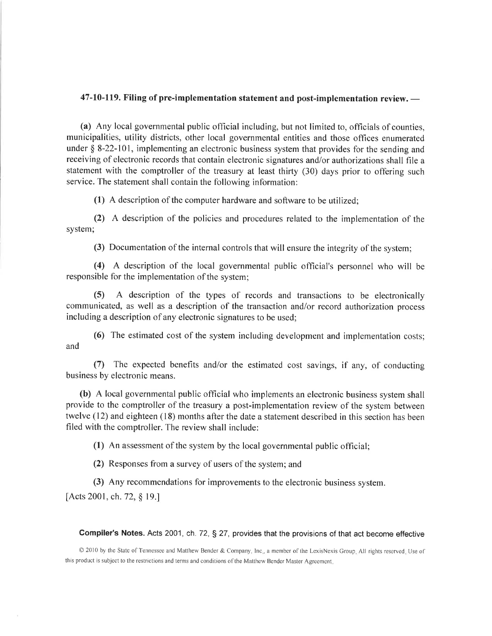## 47-10-119. Filing of pre-implementation statement and post-implementation review. -

(a) Any local governmental public official including, but not limited to, officials of counties, municipalities, utility districts, other local governmental entities and those offices enumerated under  $\S$  8-22-101, implementing an electronic business system that provides for the sending and receiving of electronic records that contain electronic signatures and/or authorizations shall file a statement with the comptroller of the treasury at least thirty (30) days prior to offering such service. The statement shall contain the following information:

(1) A description of the computer hardware and software to be utilized;

(2) A description of the policies and procedures related to the implementation of the system;

(3) Documentation of the internal controls that will ensure the integrity of the system;

(4) A description of the local governmental public official's personnel who will be responsible for the implementation of the system;

A description of the types of records and transactions to be electronically  $(5)$ communicated, as well as a description of the transaction and/or record authorization process including a description of any electronic signatures to be used;

(6) The estimated cost of the system including development and implementation costs; and

(7) The expected benefits and/or the estimated cost savings, if any, of conducting business by electronic means.

(b) A local governmental public official who implements an electronic business system shall provide to the comptroller of the treasury a post-implementation review of the system between twelve (12) and eighteen (18) months after the date a statement described in this section has been filed with the comptroller. The review shall include:

(1) An assessment of the system by the local governmental public official;

(2) Responses from a survey of users of the system; and

(3) Any recommendations for improvements to the electronic business system.

[Acts 2001, ch. 72, § 19.]

#### **Compiler's Notes.** Acts 2001, ch. 72, § 27, provides that the provisions of that act become effective

© 2010 by the State of Tennessee and Matthew Bender & Company, Inc., a member of the LexisNexis Group. All rights reserved. Use of this product is subject to the restrictions and terms and conditions of the Matthew Bender Master Agreement.